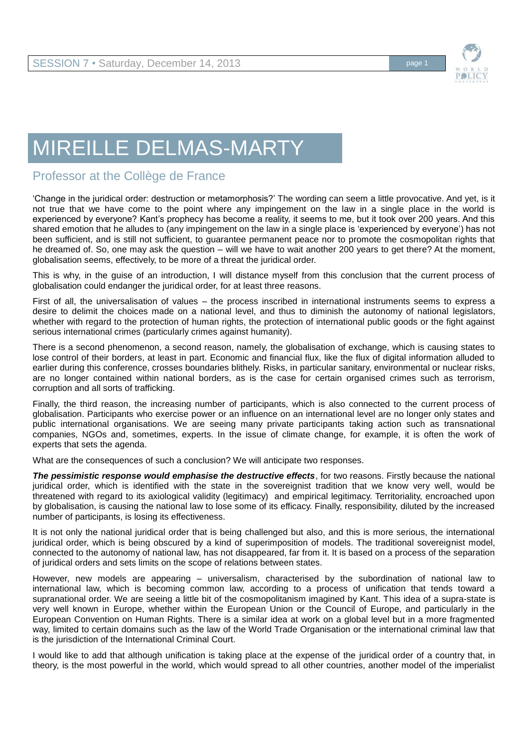

## MIREILLE DELMAS-MARTY

## Professor at the Collège de France

'Change in the juridical order: destruction or metamorphosis?' The wording can seem a little provocative. And yet, is it not true that we have come to the point where any impingement on the law in a single place in the world is experienced by everyone? Kant's prophecy has become a reality, it seems to me, but it took over 200 years. And this shared emotion that he alludes to (any impingement on the law in a single place is 'experienced by everyone') has not been sufficient, and is still not sufficient, to guarantee permanent peace nor to promote the cosmopolitan rights that he dreamed of. So, one may ask the question – will we have to wait another 200 years to get there? At the moment, globalisation seems, effectively, to be more of a threat the juridical order.

This is why, in the guise of an introduction, I will distance myself from this conclusion that the current process of globalisation could endanger the juridical order, for at least three reasons.

First of all, the universalisation of values – the process inscribed in international instruments seems to express a desire to delimit the choices made on a national level, and thus to diminish the autonomy of national legislators, whether with regard to the protection of human rights, the protection of international public goods or the fight against serious international crimes (particularly crimes against humanity).

There is a second phenomenon, a second reason, namely, the globalisation of exchange, which is causing states to lose control of their borders, at least in part. Economic and financial flux, like the flux of digital information alluded to earlier during this conference, crosses boundaries blithely. Risks, in particular sanitary, environmental or nuclear risks, are no longer contained within national borders, as is the case for certain organised crimes such as terrorism, corruption and all sorts of trafficking.

Finally, the third reason, the increasing number of participants, which is also connected to the current process of globalisation. Participants who exercise power or an influence on an international level are no longer only states and public international organisations. We are seeing many private participants taking action such as transnational companies, NGOs and, sometimes, experts. In the issue of climate change, for example, it is often the work of experts that sets the agenda.

What are the consequences of such a conclusion? We will anticipate two responses.

*The pessimistic response would emphasise the destructive effects*, for two reasons. Firstly because the national juridical order, which is identified with the state in the sovereignist tradition that we know very well, would be threatened with regard to its axiological validity (legitimacy) and empirical legitimacy. Territoriality, encroached upon by globalisation, is causing the national law to lose some of its efficacy. Finally, responsibility, diluted by the increased number of participants, is losing its effectiveness.

It is not only the national juridical order that is being challenged but also, and this is more serious, the international juridical order, which is being obscured by a kind of superimposition of models. The traditional sovereignist model, connected to the autonomy of national law, has not disappeared, far from it. It is based on a process of the separation of juridical orders and sets limits on the scope of relations between states.

However, new models are appearing – universalism, characterised by the subordination of national law to international law, which is becoming common law, according to a process of unification that tends toward a supranational order. We are seeing a little bit of the cosmopolitanism imagined by Kant. This idea of a supra-state is very well known in Europe, whether within the European Union or the Council of Europe, and particularly in the European Convention on Human Rights. There is a similar idea at work on a global level but in a more fragmented way, limited to certain domains such as the law of the World Trade Organisation or the international criminal law that is the jurisdiction of the International Criminal Court.

I would like to add that although unification is taking place at the expense of the juridical order of a country that, in theory, is the most powerful in the world, which would spread to all other countries, another model of the imperialist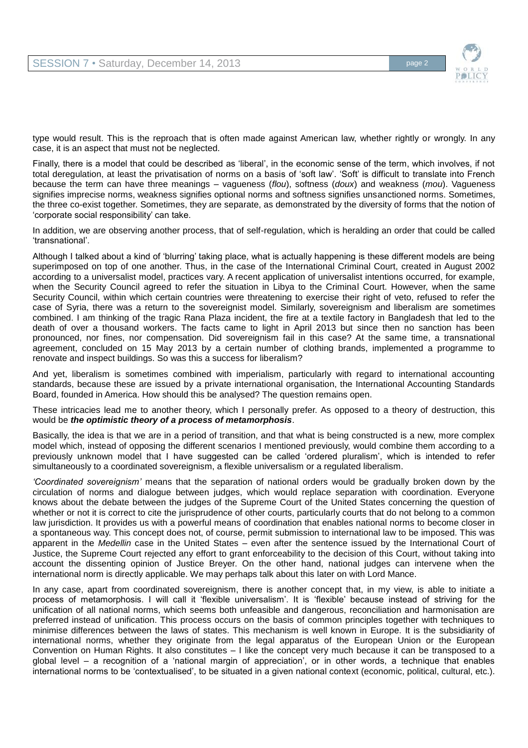

type would result. This is the reproach that is often made against American law, whether rightly or wrongly. In any case, it is an aspect that must not be neglected.

Finally, there is a model that could be described as 'liberal', in the economic sense of the term, which involves, if not total deregulation, at least the privatisation of norms on a basis of 'soft law'. 'Soft' is difficult to translate into French because the term can have three meanings – vagueness (*flou*), softness (*doux*) and weakness (*mou*). Vagueness signifies imprecise norms, weakness signifies optional norms and softness signifies unsanctioned norms. Sometimes, the three co-exist together. Sometimes, they are separate, as demonstrated by the diversity of forms that the notion of 'corporate social responsibility' can take.

In addition, we are observing another process, that of self-regulation, which is heralding an order that could be called 'transnational'.

Although I talked about a kind of 'blurring' taking place, what is actually happening is these different models are being superimposed on top of one another. Thus, in the case of the International Criminal Court, created in August 2002 according to a universalist model, practices vary. A recent application of universalist intentions occurred, for example, when the Security Council agreed to refer the situation in Libya to the Criminal Court. However, when the same Security Council, within which certain countries were threatening to exercise their right of veto, refused to refer the case of Syria, there was a return to the sovereignist model. Similarly, sovereignism and liberalism are sometimes combined. I am thinking of the tragic Rana Plaza incident, the fire at a textile factory in Bangladesh that led to the death of over a thousand workers. The facts came to light in April 2013 but since then no sanction has been pronounced, nor fines, nor compensation. Did sovereignism fail in this case? At the same time, a transnational agreement, concluded on 15 May 2013 by a certain number of clothing brands, implemented a programme to renovate and inspect buildings. So was this a success for liberalism?

And yet, liberalism is sometimes combined with imperialism, particularly with regard to international accounting standards, because these are issued by a private international organisation, the International Accounting Standards Board, founded in America. How should this be analysed? The question remains open.

These intricacies lead me to another theory, which I personally prefer. As opposed to a theory of destruction, this would be *the optimistic theory of a process of metamorphosis*.

Basically, the idea is that we are in a period of transition, and that what is being constructed is a new, more complex model which, instead of opposing the different scenarios I mentioned previously, would combine them according to a previously unknown model that I have suggested can be called 'ordered pluralism', which is intended to refer simultaneously to a coordinated sovereignism, a flexible universalism or a regulated liberalism.

*'Coordinated sovereignism'* means that the separation of national orders would be gradually broken down by the circulation of norms and dialogue between judges, which would replace separation with coordination. Everyone knows about the debate between the judges of the Supreme Court of the United States concerning the question of whether or not it is correct to cite the jurisprudence of other courts, particularly courts that do not belong to a common law jurisdiction. It provides us with a powerful means of coordination that enables national norms to become closer in a spontaneous way. This concept does not, of course, permit submission to international law to be imposed. This was apparent in the *Medellin* case in the United States – even after the sentence issued by the International Court of Justice, the Supreme Court rejected any effort to grant enforceability to the decision of this Court, without taking into account the dissenting opinion of Justice Breyer. On the other hand, national judges can intervene when the international norm is directly applicable. We may perhaps talk about this later on with Lord Mance.

In any case, apart from coordinated sovereignism, there is another concept that, in my view, is able to initiate a process of metamorphosis. I will call it 'flexible universalism'. It is 'flexible' because instead of striving for the unification of all national norms, which seems both unfeasible and dangerous, reconciliation and harmonisation are preferred instead of unification. This process occurs on the basis of common principles together with techniques to minimise differences between the laws of states. This mechanism is well known in Europe. It is the subsidiarity of international norms, whether they originate from the legal apparatus of the European Union or the European Convention on Human Rights. It also constitutes – I like the concept very much because it can be transposed to a global level – a recognition of a 'national margin of appreciation', or in other words, a technique that enables international norms to be 'contextualised', to be situated in a given national context (economic, political, cultural, etc.).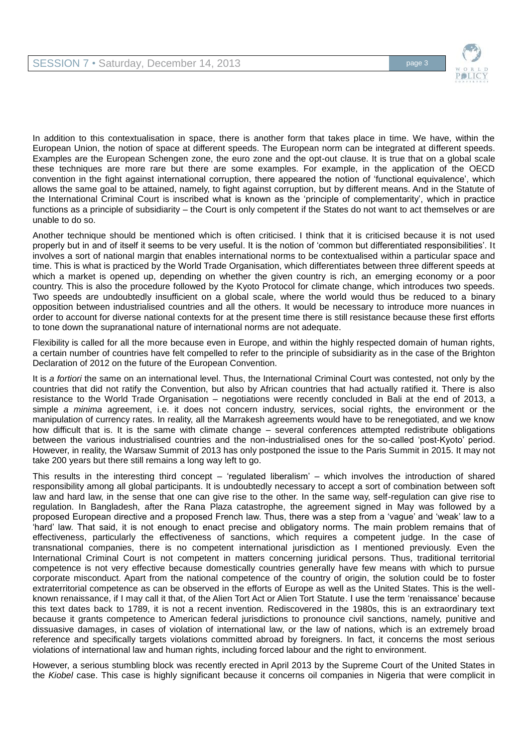

In addition to this contextualisation in space, there is another form that takes place in time. We have, within the European Union, the notion of space at different speeds. The European norm can be integrated at different speeds. Examples are the European Schengen zone, the euro zone and the opt-out clause. It is true that on a global scale these techniques are more rare but there are some examples. For example, in the application of the OECD convention in the fight against international corruption, there appeared the notion of 'functional equivalence', which allows the same goal to be attained, namely, to fight against corruption, but by different means. And in the Statute of the International Criminal Court is inscribed what is known as the 'principle of complementarity', which in practice functions as a principle of subsidiarity – the Court is only competent if the States do not want to act themselves or are unable to do so.

Another technique should be mentioned which is often criticised. I think that it is criticised because it is not used properly but in and of itself it seems to be very useful. It is the notion of 'common but differentiated responsibilities'. It involves a sort of national margin that enables international norms to be contextualised within a particular space and time. This is what is practiced by the World Trade Organisation, which differentiates between three different speeds at which a market is opened up, depending on whether the given country is rich, an emerging economy or a poor country. This is also the procedure followed by the Kyoto Protocol for climate change, which introduces two speeds. Two speeds are undoubtedly insufficient on a global scale, where the world would thus be reduced to a binary opposition between industrialised countries and all the others. It would be necessary to introduce more nuances in order to account for diverse national contexts for at the present time there is still resistance because these first efforts to tone down the supranational nature of international norms are not adequate.

Flexibility is called for all the more because even in Europe, and within the highly respected domain of human rights, a certain number of countries have felt compelled to refer to the principle of subsidiarity as in the case of the Brighton Declaration of 2012 on the future of the European Convention.

It is *a fortiori* the same on an international level. Thus, the International Criminal Court was contested, not only by the countries that did not ratify the Convention, but also by African countries that had actually ratified it. There is also resistance to the World Trade Organisation – negotiations were recently concluded in Bali at the end of 2013, a simple *a minima* agreement, i.e. it does not concern industry, services, social rights, the environment or the manipulation of currency rates. In reality, all the Marrakesh agreements would have to be renegotiated, and we know how difficult that is. It is the same with climate change – several conferences attempted redistribute obligations between the various industrialised countries and the non-industrialised ones for the so-called 'post-Kyoto' period. However, in reality, the Warsaw Summit of 2013 has only postponed the issue to the Paris Summit in 2015. It may not take 200 years but there still remains a long way left to go.

This results in the interesting third concept – 'regulated liberalism' – which involves the introduction of shared responsibility among all global participants. It is undoubtedly necessary to accept a sort of combination between soft law and hard law, in the sense that one can give rise to the other. In the same way, self-regulation can give rise to regulation. In Bangladesh, after the Rana Plaza catastrophe, the agreement signed in May was followed by a proposed European directive and a proposed French law. Thus, there was a step from a 'vague' and 'weak' law to a 'hard' law. That said, it is not enough to enact precise and obligatory norms. The main problem remains that of effectiveness, particularly the effectiveness of sanctions, which requires a competent judge. In the case of transnational companies, there is no competent international jurisdiction as I mentioned previously. Even the International Criminal Court is not competent in matters concerning juridical persons. Thus, traditional territorial competence is not very effective because domestically countries generally have few means with which to pursue corporate misconduct. Apart from the national competence of the country of origin, the solution could be to foster extraterritorial competence as can be observed in the efforts of Europe as well as the United States. This is the wellknown renaissance, if I may call it that, of the Alien Tort Act or Alien Tort Statute. I use the term 'renaissance' because this text dates back to 1789, it is not a recent invention. Rediscovered in the 1980s, this is an extraordinary text because it grants competence to American federal jurisdictions to pronounce civil sanctions, namely, punitive and dissuasive damages, in cases of violation of international law, or the law of nations, which is an extremely broad reference and specifically targets violations committed abroad by foreigners. In fact, it concerns the most serious violations of international law and human rights, including forced labour and the right to environment.

However, a serious stumbling block was recently erected in April 2013 by the Supreme Court of the United States in the *Kiobel* case. This case is highly significant because it concerns oil companies in Nigeria that were complicit in